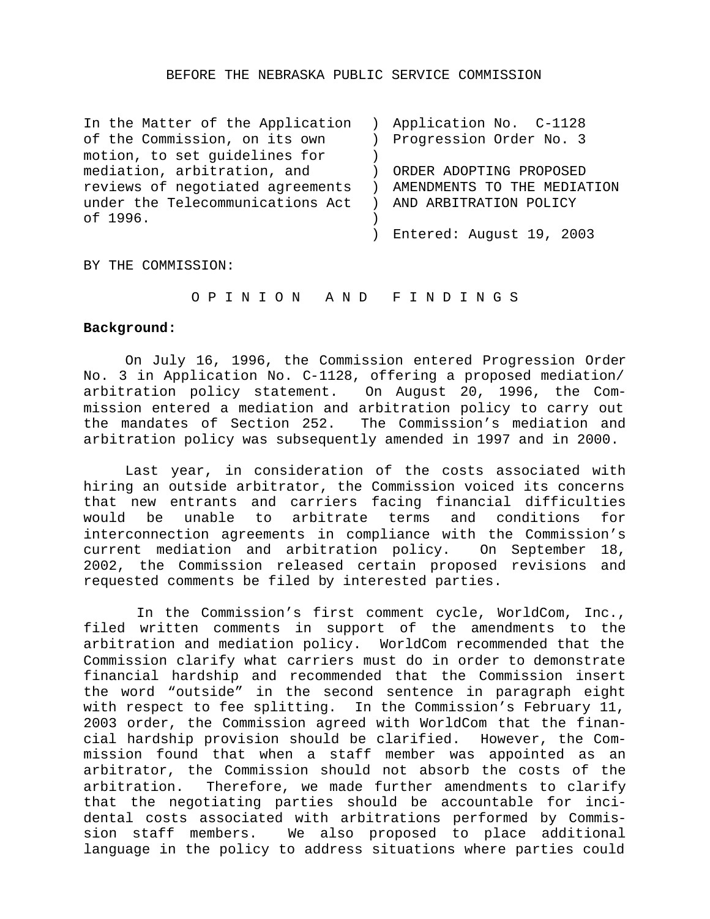#### BEFORE THE NEBRASKA PUBLIC SERVICE COMMISSION

| In the Matter of the Application | Application No. C-1128      |
|----------------------------------|-----------------------------|
| of the Commission, on its own    | Progression Order No. 3     |
| motion, to set guidelines for    |                             |
| mediation, arbitration, and      | ORDER ADOPTING PROPOSED     |
| reviews of negotiated agreements | AMENDMENTS TO THE MEDIATION |
| under the Telecommunications Act | AND ARBITRATION POLICY      |
| of 1996.                         |                             |
|                                  | Entered: August 19, 2003    |

BY THE COMMISSION:

O P I N I O N A N D F I N D I N G S

# **Background:**

On July 16, 1996, the Commission entered Progression Order No. 3 in Application No. C-1128, offering a proposed mediation/ arbitration policy statement. On August 20, 1996, the Commission entered a mediation and arbitration policy to carry out the mandates of Section 252. The Commission's mediation and arbitration policy was subsequently amended in 1997 and in 2000.

Last year, in consideration of the costs associated with hiring an outside arbitrator, the Commission voiced its concerns that new entrants and carriers facing financial difficulties would be unable to arbitrate terms and conditions for interconnection agreements in compliance with the Commission's current mediation and arbitration policy. On September 18, 2002, the Commission released certain proposed revisions and requested comments be filed by interested parties.

 In the Commission's first comment cycle, WorldCom, Inc., filed written comments in support of the amendments to the arbitration and mediation policy. WorldCom recommended that the Commission clarify what carriers must do in order to demonstrate financial hardship and recommended that the Commission insert the word "outside" in the second sentence in paragraph eight with respect to fee splitting. In the Commission's February 11, 2003 order, the Commission agreed with WorldCom that the financial hardship provision should be clarified. However, the Commission found that when a staff member was appointed as an arbitrator, the Commission should not absorb the costs of the arbitration. Therefore, we made further amendments to clarify that the negotiating parties should be accountable for incidental costs associated with arbitrations performed by Commission staff members. We also proposed to place additional language in the policy to address situations where parties could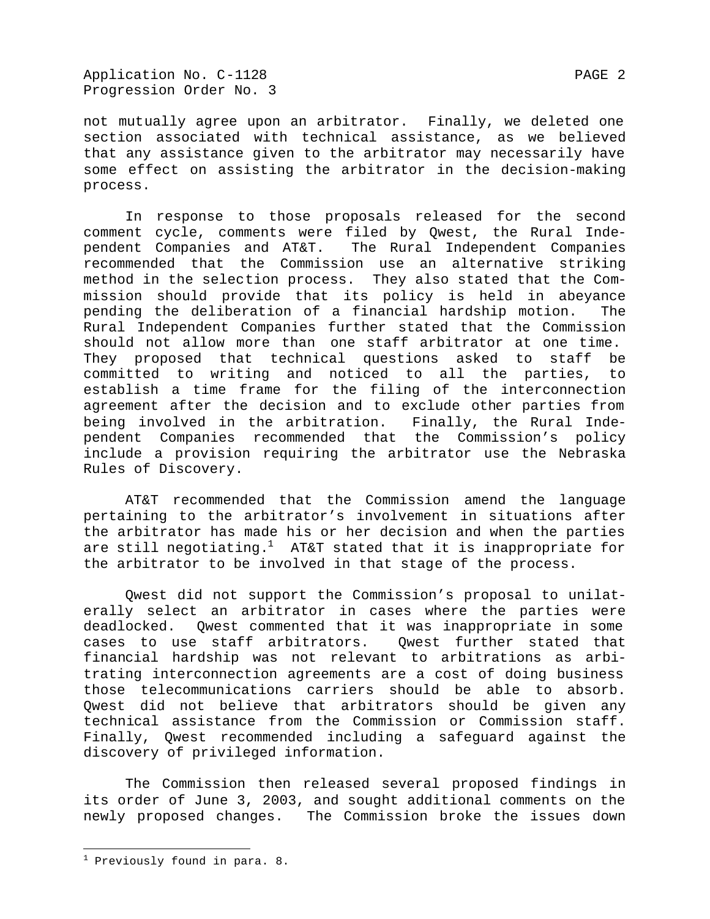not mutually agree upon an arbitrator. Finally, we deleted one section associated with technical assistance, as we believed that any assistance given to the arbitrator may necessarily have some effect on assisting the arbitrator in the decision-making process.

In response to those proposals released for the second comment cycle, comments were filed by Qwest, the Rural Independent Companies and AT&T. The Rural Independent Companies recommended that the Commission use an alternative striking method in the selection process. They also stated that the Commission should provide that its policy is held in abeyance pending the deliberation of a financial hardship motion. The Rural Independent Companies further stated that the Commission should not allow more than one staff arbitrator at one time. They proposed that technical questions asked to staff be committed to writing and noticed to all the parties, to establish a time frame for the filing of the interconnection agreement after the decision and to exclude other parties from being involved in the arbitration. Finally, the Rural Independent Companies recommended that the Commission's policy include a provision requiring the arbitrator use the Nebraska Rules of Discovery.

AT&T recommended that the Commission amend the language pertaining to the arbitrator's involvement in situations after the arbitrator has made his or her decision and when the parties are still negotiating.<sup>1</sup> AT&T stated that it is inappropriate for the arbitrator to be involved in that stage of the process.

Qwest did not support the Commission's proposal to unilaterally select an arbitrator in cases where the parties were deadlocked. Qwest commented that it was inappropriate in some cases to use staff arbitrators. Qwest further stated that financial hardship was not relevant to arbitrations as arbitrating interconnection agreements are a cost of doing business those telecommunications carriers should be able to absorb. Qwest did not believe that arbitrators should be given any technical assistance from the Commission or Commission staff. Finally, Qwest recommended including a safeguard against the discovery of privileged information.

The Commission then released several proposed findings in its order of June 3, 2003, and sought additional comments on the newly proposed changes. The Commission broke the issues down

 $\overline{a}$ 

<sup>&</sup>lt;sup>1</sup> Previously found in para. 8.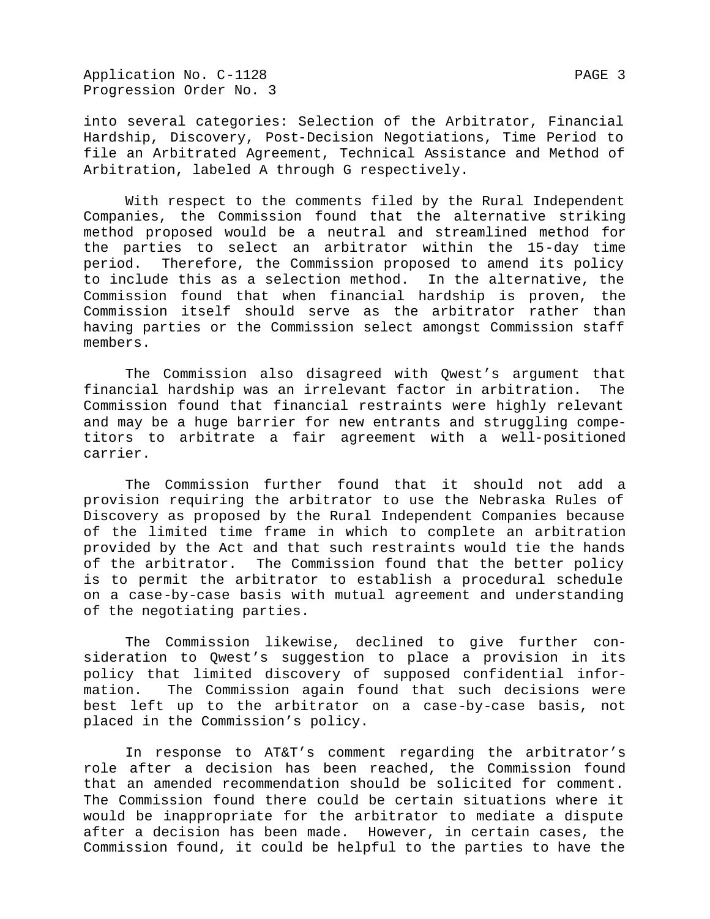Application No. C-1128 PAGE 3 Progression Order No. 3

into several categories: Selection of the Arbitrator, Financial Hardship, Discovery, Post-Decision Negotiations, Time Period to file an Arbitrated Agreement, Technical Assistance and Method of Arbitration, labeled A through G respectively.

With respect to the comments filed by the Rural Independent Companies, the Commission found that the alternative striking method proposed would be a neutral and streamlined method for the parties to select an arbitrator within the 15-day time period. Therefore, the Commission proposed to amend its policy to include this as a selection method. In the alternative, the Commission found that when financial hardship is proven, the Commission itself should serve as the arbitrator rather than having parties or the Commission select amongst Commission staff members.

The Commission also disagreed with Qwest's argument that financial hardship was an irrelevant factor in arbitration. The Commission found that financial restraints were highly relevant and may be a huge barrier for new entrants and struggling competitors to arbitrate a fair agreement with a well-positioned carrier.

The Commission further found that it should not add a provision requiring the arbitrator to use the Nebraska Rules of Discovery as proposed by the Rural Independent Companies because of the limited time frame in which to complete an arbitration provided by the Act and that such restraints would tie the hands of the arbitrator. The Commission found that the better policy is to permit the arbitrator to establish a procedural schedule on a case-by-case basis with mutual agreement and understanding of the negotiating parties.

The Commission likewise, declined to give further consideration to Qwest's suggestion to place a provision in its policy that limited discovery of supposed confidential information. The Commission again found that such decisions were best left up to the arbitrator on a case-by-case basis, not placed in the Commission's policy.

In response to AT&T's comment regarding the arbitrator's role after a decision has been reached, the Commission found that an amended recommendation should be solicited for comment. The Commission found there could be certain situations where it would be inappropriate for the arbitrator to mediate a dispute after a decision has been made. However, in certain cases, the Commission found, it could be helpful to the parties to have the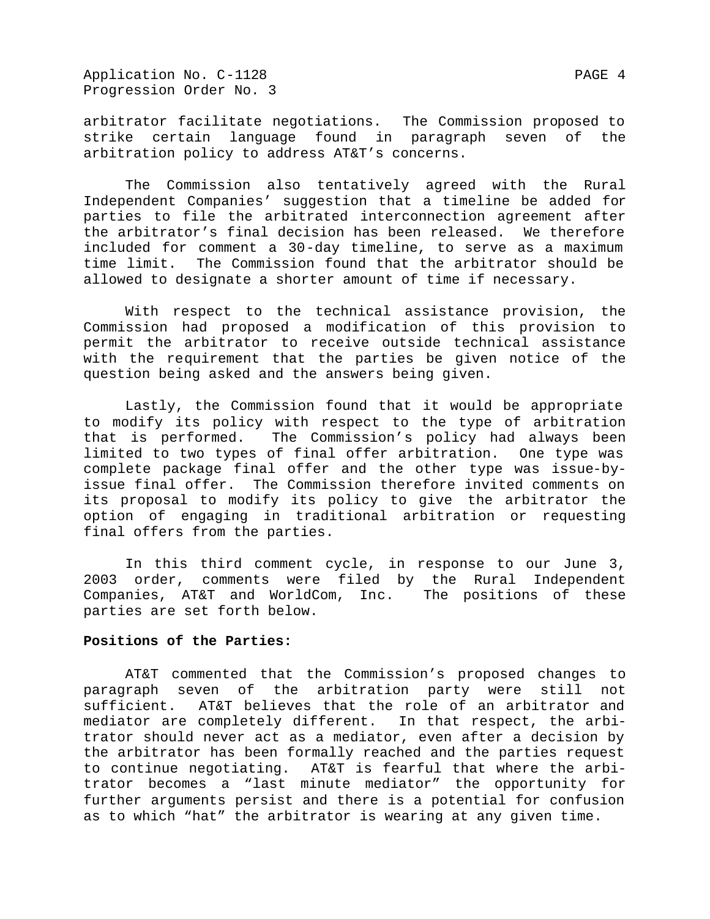Application No. C-1128 PAGE 4 Progression Order No. 3

arbitrator facilitate negotiations. The Commission proposed to strike certain language found in paragraph seven of the arbitration policy to address AT&T's concerns.

The Commission also tentatively agreed with the Rural Independent Companies' suggestion that a timeline be added for parties to file the arbitrated interconnection agreement after the arbitrator's final decision has been released. We therefore included for comment a 30-day timeline, to serve as a maximum time limit. The Commission found that the arbitrator should be allowed to designate a shorter amount of time if necessary.

With respect to the technical assistance provision, the Commission had proposed a modification of this provision to permit the arbitrator to receive outside technical assistance with the requirement that the parties be given notice of the question being asked and the answers being given.

Lastly, the Commission found that it would be appropriate to modify its policy with respect to the type of arbitration that is performed. The Commission's policy had always been limited to two types of final offer arbitration. One type was complete package final offer and the other type was issue-byissue final offer. The Commission therefore invited comments on its proposal to modify its policy to give the arbitrator the option of engaging in traditional arbitration or requesting final offers from the parties.

In this third comment cycle, in response to our June 3, 2003 order, comments were filed by the Rural Independent Companies, AT&T and WorldCom, Inc. The positions of these parties are set forth below.

### **Positions of the Parties:**

AT&T commented that the Commission's proposed changes to paragraph seven of the arbitration party were still not sufficient. AT&T believes that the role of an arbitrator and mediator are completely different. In that respect, the arbitrator should never act as a mediator, even after a decision by the arbitrator has been formally reached and the parties request to continue negotiating. AT&T is fearful that where the arbitrator becomes a "last minute mediator" the opportunity for further arguments persist and there is a potential for confusion as to which "hat" the arbitrator is wearing at any given time.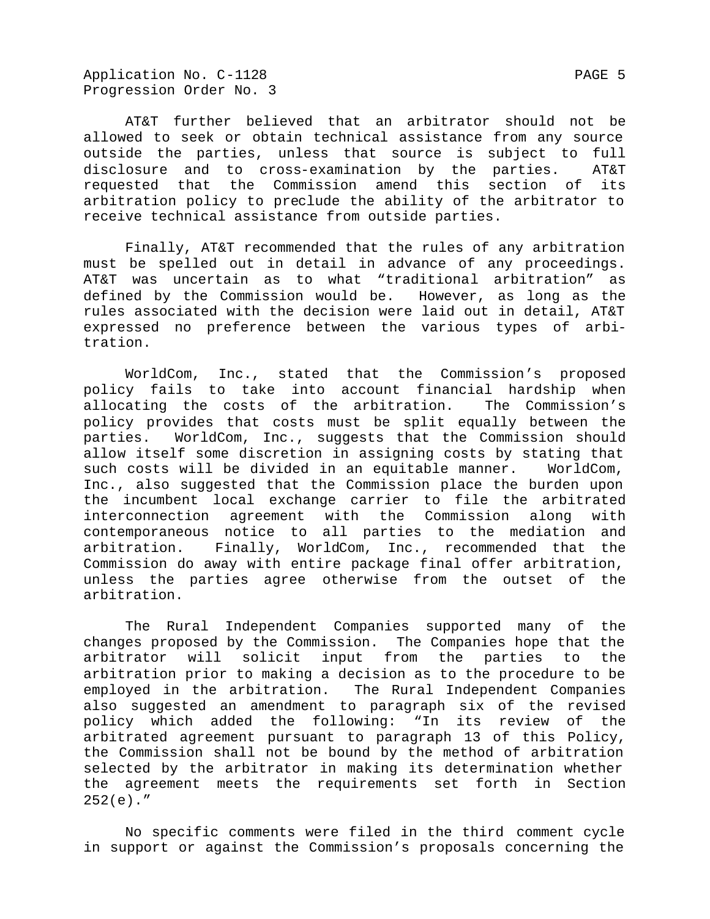Application No. C-1128 PAGE 5 Progression Order No. 3

AT&T further believed that an arbitrator should not be allowed to seek or obtain technical assistance from any source outside the parties, unless that source is subject to full disclosure and to cross-examination by the parties. AT&T requested that the Commission amend this section of its arbitration policy to preclude the ability of the arbitrator to receive technical assistance from outside parties.

Finally, AT&T recommended that the rules of any arbitration must be spelled out in detail in advance of any proceedings. AT&T was uncertain as to what "traditional arbitration" as defined by the Commission would be. However, as long as the rules associated with the decision were laid out in detail, AT&T expressed no preference between the various types of arbitration.

WorldCom, Inc., stated that the Commission's proposed policy fails to take into account financial hardship when allocating the costs of the arbitration. The Commission's policy provides that costs must be split equally between the parties. WorldCom, Inc., suggests that the Commission should allow itself some discretion in assigning costs by stating that such costs will be divided in an equitable manner. WorldCom, Inc., also suggested that the Commission place the burden upon the incumbent local exchange carrier to file the arbitrated interconnection agreement with the Commission along with contemporaneous notice to all parties to the mediation and arbitration. Finally, WorldCom, Inc., recommended that the Commission do away with entire package final offer arbitration, unless the parties agree otherwise from the outset of the arbitration.

The Rural Independent Companies supported many of the changes proposed by the Commission. The Companies hope that the arbitrator will solicit input from the parties to the arbitration prior to making a decision as to the procedure to be employed in the arbitration. The Rural Independent Companies also suggested an amendment to paragraph six of the revised policy which added the following: "In its review of the arbitrated agreement pursuant to paragraph 13 of this Policy, the Commission shall not be bound by the method of arbitration selected by the arbitrator in making its determination whether the agreement meets the requirements set forth in Section  $252(e)$ ."

No specific comments were filed in the third comment cycle in support or against the Commission's proposals concerning the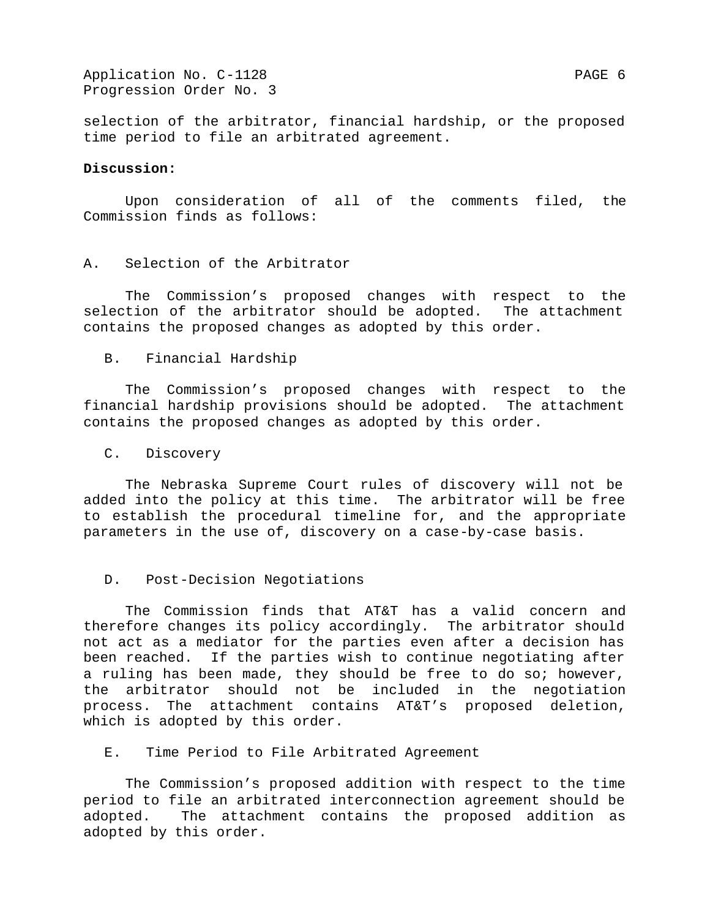Application No. C-1128 PAGE 6 Progression Order No. 3

selection of the arbitrator, financial hardship, or the proposed time period to file an arbitrated agreement.

### **Discussion:**

Upon consideration of all of the comments filed, the Commission finds as follows:

## A. Selection of the Arbitrator

The Commission's proposed changes with respect to the selection of the arbitrator should be adopted. The attachment contains the proposed changes as adopted by this order.

#### B. Financial Hardship

The Commission's proposed changes with respect to the financial hardship provisions should be adopted. The attachment contains the proposed changes as adopted by this order.

#### C. Discovery

The Nebraska Supreme Court rules of discovery will not be added into the policy at this time. The arbitrator will be free to establish the procedural timeline for, and the appropriate parameters in the use of, discovery on a case-by-case basis.

#### D. Post-Decision Negotiations

The Commission finds that AT&T has a valid concern and therefore changes its policy accordingly. The arbitrator should not act as a mediator for the parties even after a decision has been reached. If the parties wish to continue negotiating after a ruling has been made, they should be free to do so; however, the arbitrator should not be included in the negotiation process. The attachment contains AT&T's proposed deletion, which is adopted by this order.

E. Time Period to File Arbitrated Agreement

The Commission's proposed addition with respect to the time period to file an arbitrated interconnection agreement should be adopted. The attachment contains the proposed addition as adopted by this order.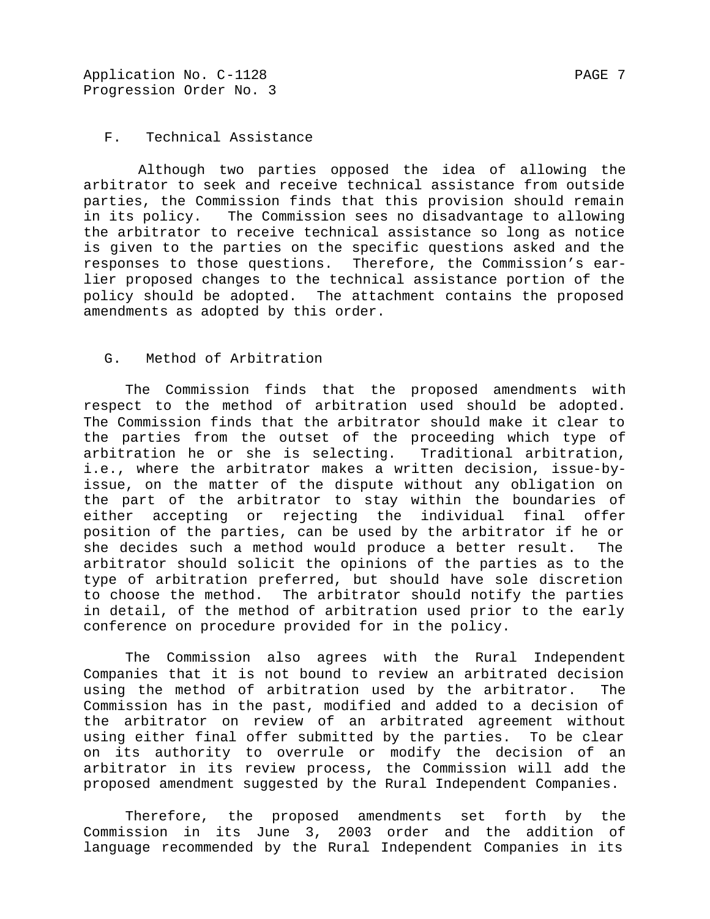# F. Technical Assistance

 Although two parties opposed the idea of allowing the arbitrator to seek and receive technical assistance from outside parties, the Commission finds that this provision should remain in its policy. The Commission sees no disadvantage to allowing the arbitrator to receive technical assistance so long as notice is given to the parties on the specific questions asked and the responses to those questions. Therefore, the Commission's earlier proposed changes to the technical assistance portion of the policy should be adopted. The attachment contains the proposed amendments as adopted by this order.

# G. Method of Arbitration

The Commission finds that the proposed amendments with respect to the method of arbitration used should be adopted. The Commission finds that the arbitrator should make it clear to the parties from the outset of the proceeding which type of arbitration he or she is selecting. Traditional arbitration, i.e., where the arbitrator makes a written decision, issue-byissue, on the matter of the dispute without any obligation on the part of the arbitrator to stay within the boundaries of either accepting or rejecting the individual final offer position of the parties, can be used by the arbitrator if he or she decides such a method would produce a better result. The arbitrator should solicit the opinions of the parties as to the type of arbitration preferred, but should have sole discretion to choose the method. The arbitrator should notify the parties in detail, of the method of arbitration used prior to the early conference on procedure provided for in the policy.

The Commission also agrees with the Rural Independent Companies that it is not bound to review an arbitrated decision using the method of arbitration used by the arbitrator. The Commission has in the past, modified and added to a decision of the arbitrator on review of an arbitrated agreement without using either final offer submitted by the parties. To be clear on its authority to overrule or modify the decision of an arbitrator in its review process, the Commission will add the proposed amendment suggested by the Rural Independent Companies.

Therefore, the proposed amendments set forth by the Commission in its June 3, 2003 order and the addition of language recommended by the Rural Independent Companies in its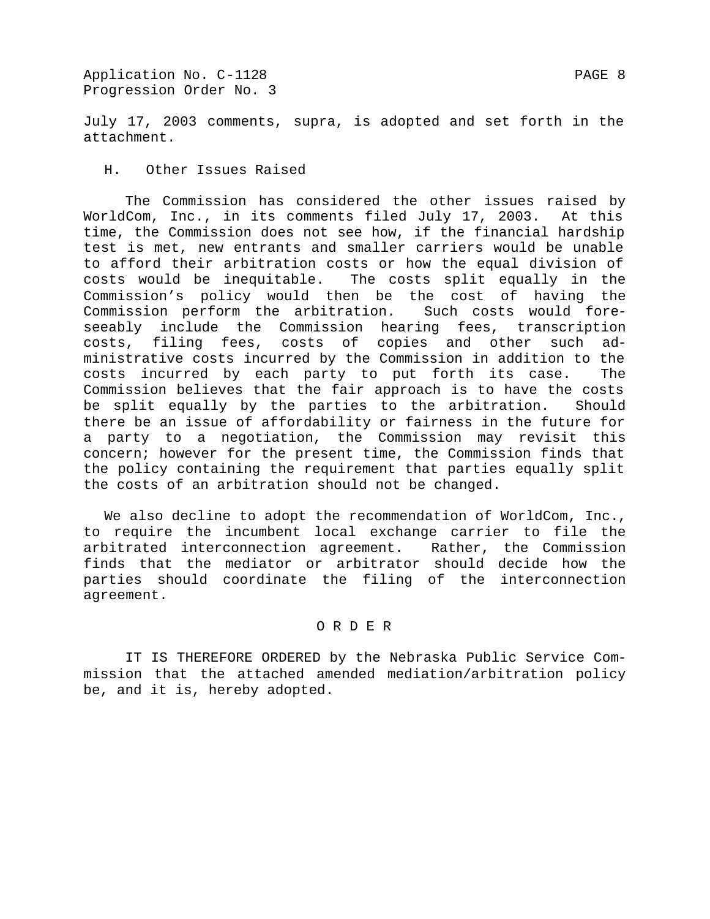Application No. C-1128 PAGE 8 Progression Order No. 3

July 17, 2003 comments, supra, is adopted and set forth in the attachment.

H. Other Issues Raised

The Commission has considered the other issues raised by WorldCom, Inc., in its comments filed July 17, 2003. At this time, the Commission does not see how, if the financial hardship test is met, new entrants and smaller carriers would be unable to afford their arbitration costs or how the equal division of costs would be inequitable. The costs split equally in the Commission's policy would then be the cost of having the Commission perform the arbitration. Such costs would foreseeably include the Commission hearing fees, transcription costs, filing fees, costs of copies and other such administrative costs incurred by the Commission in addition to the costs incurred by each party to put forth its case. The Commission believes that the fair approach is to have the costs be split equally by the parties to the arbitration. Should there be an issue of affordability or fairness in the future for a party to a negotiation, the Commission may revisit this concern; however for the present time, the Commission finds that the policy containing the requirement that parties equally split the costs of an arbitration should not be changed.

We also decline to adopt the recommendation of WorldCom, Inc., to require the incumbent local exchange carrier to file the arbitrated interconnection agreement. Rather, the Commission finds that the mediator or arbitrator should decide how the parties should coordinate the filing of the interconnection agreement.

### O R D E R

IT IS THEREFORE ORDERED by the Nebraska Public Service Commission that the attached amended mediation/arbitration policy be, and it is, hereby adopted.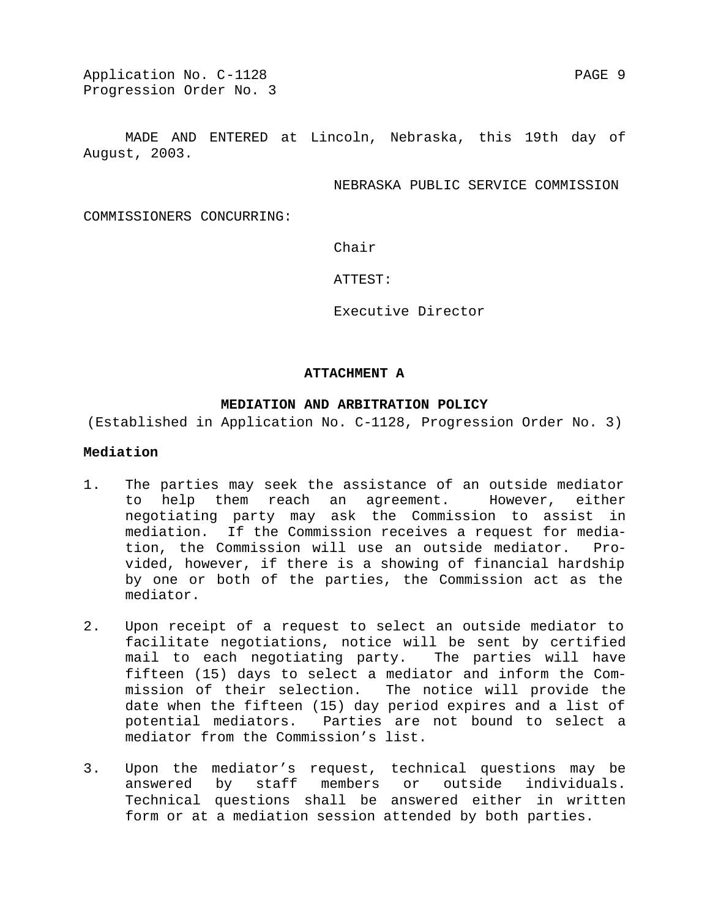Application No. C-1128 PAGE 9 Progression Order No. 3

MADE AND ENTERED at Lincoln, Nebraska, this 19th day of August, 2003.

NEBRASKA PUBLIC SERVICE COMMISSION

COMMISSIONERS CONCURRING:

Chair

ATTEST:

Executive Director

#### **ATTACHMENT A**

# **MEDIATION AND ARBITRATION POLICY**

(Established in Application No. C-1128, Progression Order No. 3)

# **Mediation**

- 1. The parties may seek the assistance of an outside mediator to help them reach an agreement. However, either negotiating party may ask the Commission to assist in mediation. If the Commission receives a request for mediation, the Commission will use an outside mediator. Provided, however, if there is a showing of financial hardship by one or both of the parties, the Commission act as the mediator.
- 2. Upon receipt of a request to select an outside mediator to facilitate negotiations, notice will be sent by certified mail to each negotiating party. The parties will have fifteen (15) days to select a mediator and inform the Commission of their selection. The notice will provide the date when the fifteen (15) day period expires and a list of potential mediators. Parties are not bound to select a mediator from the Commission's list.
- 3. Upon the mediator's request, technical questions may be answered by staff members or outside individuals. Technical questions shall be answered either in written form or at a mediation session attended by both parties.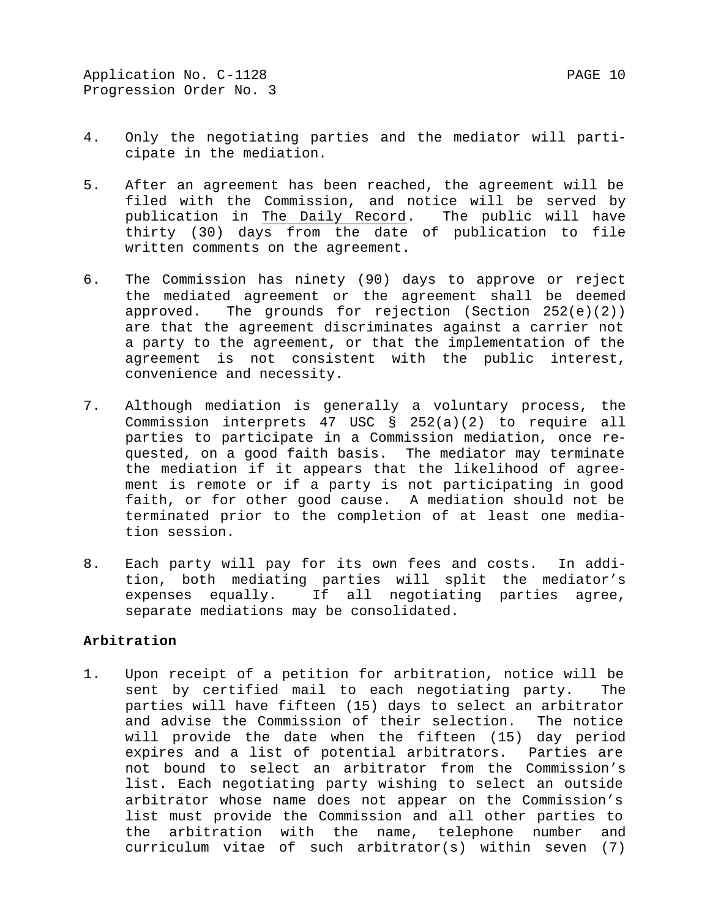- 4. Only the negotiating parties and the mediator will participate in the mediation.
- 5. After an agreement has been reached, the agreement will be filed with the Commission, and notice will be served by publication in The Daily Record. The public will have thirty (30) days from the date of publication to file written comments on the agreement.
- 6. The Commission has ninety (90) days to approve or reject the mediated agreement or the agreement shall be deemed approved. The grounds for rejection (Section 252(e)(2)) are that the agreement discriminates against a carrier not a party to the agreement, or that the implementation of the agreement is not consistent with the public interest, convenience and necessity.
- 7. Although mediation is generally a voluntary process, the Commission interprets 47 USC § 252(a)(2) to require all parties to participate in a Commission mediation, once requested, on a good faith basis. The mediator may terminate the mediation if it appears that the likelihood of agreement is remote or if a party is not participating in good faith, or for other good cause. A mediation should not be terminated prior to the completion of at least one mediation session.
- 8. Each party will pay for its own fees and costs. In addition, both mediating parties will split the mediator's expenses equally. If all negotiating parties agree, separate mediations may be consolidated.

# **Arbitration**

1. Upon receipt of a petition for arbitration, notice will be sent by certified mail to each negotiating party. The parties will have fifteen (15) days to select an arbitrator and advise the Commission of their selection. The notice will provide the date when the fifteen (15) day period expires and a list of potential arbitrators. Parties are not bound to select an arbitrator from the Commission's list. Each negotiating party wishing to select an outside arbitrator whose name does not appear on the Commission's list must provide the Commission and all other parties to the arbitration with the name, telephone number and curriculum vitae of such arbitrator(s) within seven (7)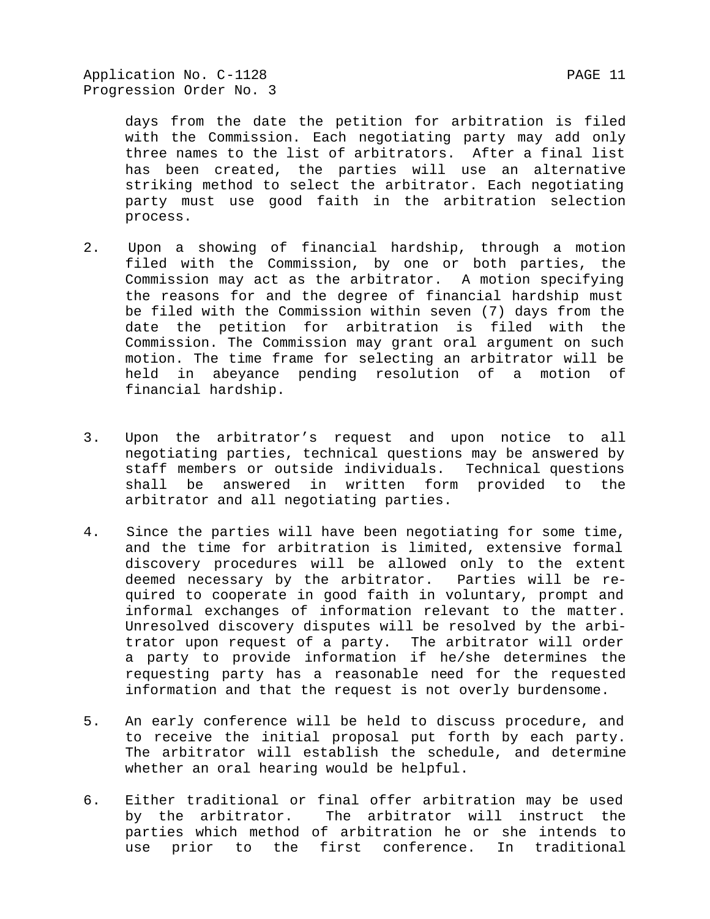Application No. C-1128 PAGE 11 Progression Order No. 3

days from the date the petition for arbitration is filed with the Commission. Each negotiating party may add only three names to the list of arbitrators. After a final list has been created, the parties will use an alternative striking method to select the arbitrator. Each negotiating party must use good faith in the arbitration selection process.

- 2. Upon a showing of financial hardship, through a motion filed with the Commission, by one or both parties, the Commission may act as the arbitrator. A motion specifying the reasons for and the degree of financial hardship must be filed with the Commission within seven (7) days from the date the petition for arbitration is filed with the Commission. The Commission may grant oral argument on such motion. The time frame for selecting an arbitrator will be held in abeyance pending resolution of a motion of financial hardship.
- 3. Upon the arbitrator's request and upon notice to all negotiating parties, technical questions may be answered by staff members or outside individuals. Technical questions shall be answered in written form provided to the arbitrator and all negotiating parties.
- 4. Since the parties will have been negotiating for some time, and the time for arbitration is limited, extensive formal discovery procedures will be allowed only to the extent deemed necessary by the arbitrator. Parties will be required to cooperate in good faith in voluntary, prompt and informal exchanges of information relevant to the matter. Unresolved discovery disputes will be resolved by the arbitrator upon request of a party. The arbitrator will order a party to provide information if he/she determines the requesting party has a reasonable need for the requested information and that the request is not overly burdensome.
- 5. An early conference will be held to discuss procedure, and to receive the initial proposal put forth by each party. The arbitrator will establish the schedule, and determine whether an oral hearing would be helpful.
- 6. Either traditional or final offer arbitration may be used by the arbitrator. The arbitrator will instruct the parties which method of arbitration he or she intends to use prior to the first conference. In traditional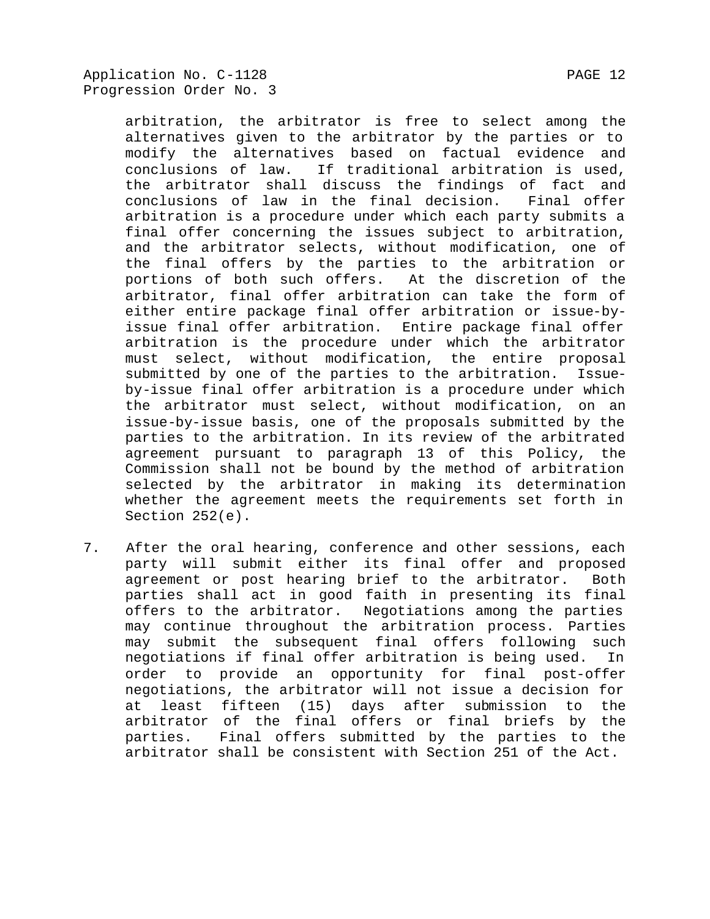arbitration, the arbitrator is free to select among the alternatives given to the arbitrator by the parties or to modify the alternatives based on factual evidence and conclusions of law. If traditional arbitration is used, the arbitrator shall discuss the findings of fact and conclusions of law in the final decision. Final offer arbitration is a procedure under which each party submits a final offer concerning the issues subject to arbitration, and the arbitrator selects, without modification, one of the final offers by the parties to the arbitration or portions of both such offers. At the discretion of the arbitrator, final offer arbitration can take the form of either entire package final offer arbitration or issue-byissue final offer arbitration. Entire package final offer arbitration is the procedure under which the arbitrator must select, without modification, the entire proposal submitted by one of the parties to the arbitration. Issueby-issue final offer arbitration is a procedure under which the arbitrator must select, without modification, on an issue-by-issue basis, one of the proposals submitted by the parties to the arbitration. In its review of the arbitrated agreement pursuant to paragraph 13 of this Policy, the Commission shall not be bound by the method of arbitration selected by the arbitrator in making its determination whether the agreement meets the requirements set forth in Section 252(e).

7. After the oral hearing, conference and other sessions, each party will submit either its final offer and proposed agreement or post hearing brief to the arbitrator. Both parties shall act in good faith in presenting its final offers to the arbitrator. Negotiations among the parties may continue throughout the arbitration process. Parties may submit the subsequent final offers following such negotiations if final offer arbitration is being used. In order to provide an opportunity for final post-offer negotiations, the arbitrator will not issue a decision for at least fifteen (15) days after submission to the arbitrator of the final offers or final briefs by the parties. Final offers submitted by the parties to the arbitrator shall be consistent with Section 251 of the Act.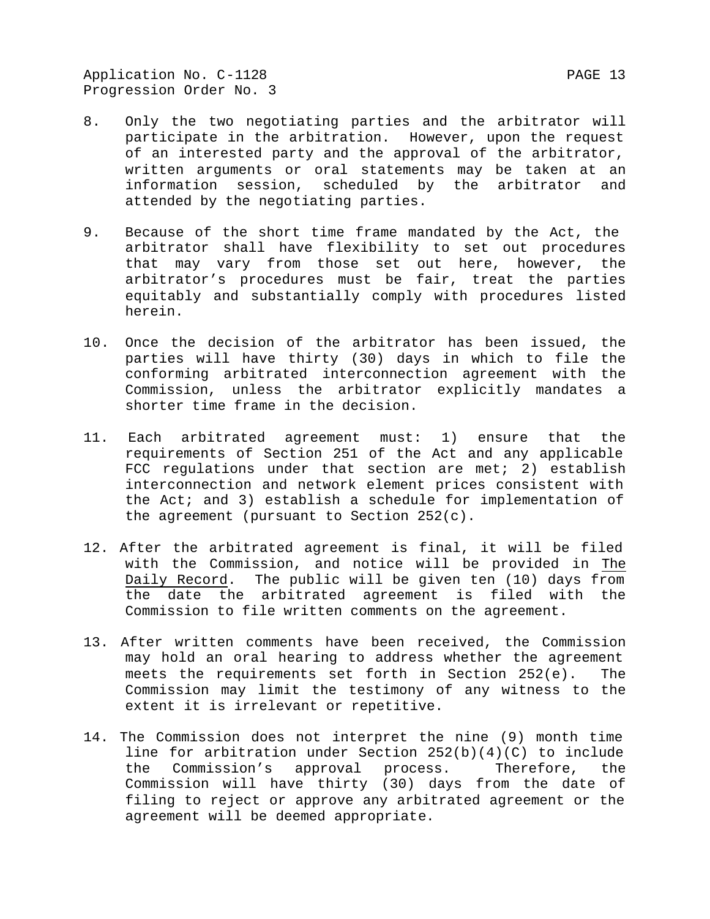Application No. C-1128 PAGE 13 Progression Order No. 3

- 8. Only the two negotiating parties and the arbitrator will participate in the arbitration. However, upon the request of an interested party and the approval of the arbitrator, written arguments or oral statements may be taken at an information session, scheduled by the arbitrator and attended by the negotiating parties.
- 9. Because of the short time frame mandated by the Act, the arbitrator shall have flexibility to set out procedures that may vary from those set out here, however, the arbitrator's procedures must be fair, treat the parties equitably and substantially comply with procedures listed herein.
- 10. Once the decision of the arbitrator has been issued, the parties will have thirty (30) days in which to file the conforming arbitrated interconnection agreement with the Commission, unless the arbitrator explicitly mandates a shorter time frame in the decision.
- 11. Each arbitrated agreement must: 1) ensure that the requirements of Section 251 of the Act and any applicable FCC regulations under that section are met; 2) establish interconnection and network element prices consistent with the Act; and 3) establish a schedule for implementation of the agreement (pursuant to Section 252(c).
- 12. After the arbitrated agreement is final, it will be filed with the Commission, and notice will be provided in The Daily Record. The public will be given ten (10) days from the date the arbitrated agreement is filed with the Commission to file written comments on the agreement.
- 13. After written comments have been received, the Commission may hold an oral hearing to address whether the agreement meets the requirements set forth in Section 252(e). The Commission may limit the testimony of any witness to the extent it is irrelevant or repetitive.
- 14. The Commission does not interpret the nine (9) month time line for arbitration under Section 252(b)(4)(C) to include the Commission's approval process. Therefore, the Commission will have thirty (30) days from the date of filing to reject or approve any arbitrated agreement or the agreement will be deemed appropriate.